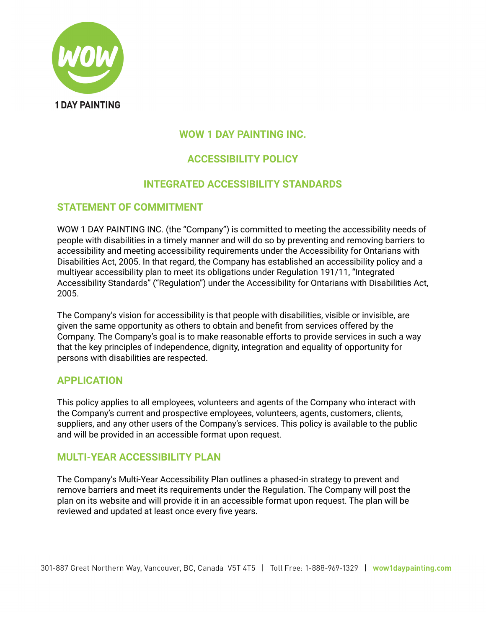

## **WOW 1 DAY PAINTING INC.**

# **ACCESSIBILITY POLICY**

## **INTEGRATED ACCESSIBILITY STANDARDS**

## **STATEMENT OF COMMITMENT**

WOW 1 DAY PAINTING INC. (the "Company") is committed to meeting the accessibility needs of people with disabilities in a timely manner and will do so by preventing and removing barriers to accessibility and meeting accessibility requirements under the Accessibility for Ontarians with Disabilities Act, 2005. In that regard, the Company has established an accessibility policy and a multiyear accessibility plan to meet its obligations under Regulation 191/11, "Integrated Accessibility Standards" ("Regulation") under the Accessibility for Ontarians with Disabilities Act, 2005.

The Company's vision for accessibility is that people with disabilities, visible or invisible, are given the same opportunity as others to obtain and benefit from services offered by the Company. The Company's goal is to make reasonable efforts to provide services in such a way that the key principles of independence, dignity, integration and equality of opportunity for persons with disabilities are respected.

## **APPLICATION**

This policy applies to all employees, volunteers and agents of the Company who interact with the Company's current and prospective employees, volunteers, agents, customers, clients, suppliers, and any other users of the Company's services. This policy is available to the public and will be provided in an accessible format upon request.

## **MULTI-YEAR ACCESSIBILITY PLAN**

The Company's Multi-Year Accessibility Plan outlines a phased-in strategy to prevent and remove barriers and meet its requirements under the Regulation. The Company will post the plan on its website and will provide it in an accessible format upon request. The plan will be reviewed and updated at least once every five years.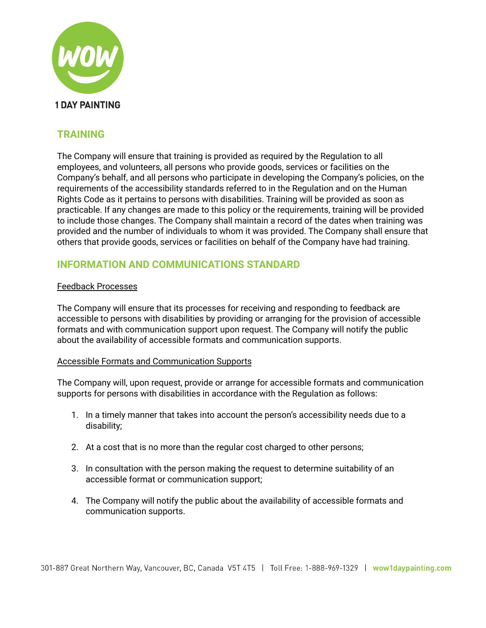

# **TRAINING**

The Company will ensure that training is provided as required by the Regulation to all employees, and volunteers, all persons who provide goods, services or facilities on the Company's behalf, and all persons who participate in developing the Company's policies, on the requirements of the accessibility standards referred to in the Regulation and on the Human Rights Code as it pertains to persons with disabilities. Training will be provided as soon as practicable. If any changes are made to this policy or the requirements, training will be provided to include those changes. The Company shall maintain a record of the dates when training was provided and the number of individuals to whom it was provided. The Company shall ensure that others that provide goods, services or facilities on behalf of the Company have had training.

# **INFORMATION AND COMMUNICATIONS STANDARD**

### Feedback Processes

The Company will ensure that its processes for receiving and responding to feedback are accessible to persons with disabilities by providing or arranging for the provision of accessible formats and with communication support upon request. The Company will notify the public about the availability of accessible formats and communication supports.

### Accessible Formats and Communication Supports

The Company will, upon request, provide or arrange for accessible formats and communication supports for persons with disabilities in accordance with the Regulation as follows:

- 1. In a timely manner that takes into account the person's accessibility needs due to a disability;
- 2. At a cost that is no more than the regular cost charged to other persons;
- 3. In consultation with the person making the request to determine suitability of an accessible format or communication support;
- 4. The Company will notify the public about the availability of accessible formats and communication supports.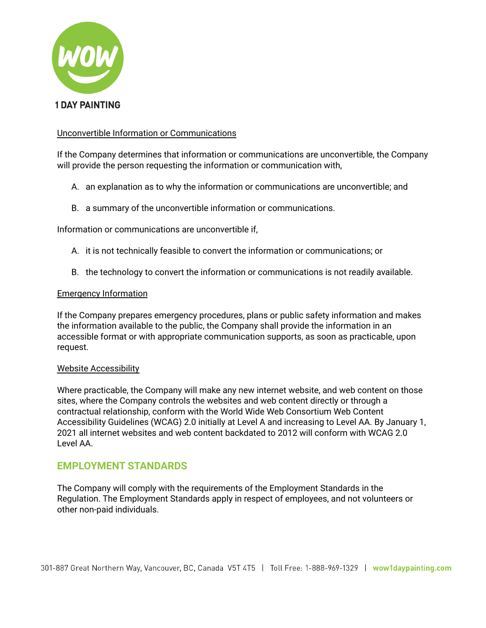

### Unconvertible Information or Communications

If the Company determines that information or communications are unconvertible, the Company will provide the person requesting the information or communication with,

- A. an explanation as to why the information or communications are unconvertible; and
- B. a summary of the unconvertible information or communications.

Information or communications are unconvertible if,

- A. it is not technically feasible to convert the information or communications; or
- B. the technology to convert the information or communications is not readily available.

#### Emergency Information

If the Company prepares emergency procedures, plans or public safety information and makes the information available to the public, the Company shall provide the information in an accessible format or with appropriate communication supports, as soon as practicable, upon request.

#### Website Accessibility

Where practicable, the Company will make any new internet website, and web content on those sites, where the Company controls the websites and web content directly or through a contractual relationship, conform with the World Wide Web Consortium Web Content Accessibility Guidelines (WCAG) 2.0 initially at Level A and increasing to Level AA. By January 1, 2021 all internet websites and web content backdated to 2012 will conform with WCAG 2.0 Level AA.

### **EMPLOYMENT STANDARDS**

The Company will comply with the requirements of the Employment Standards in the Regulation. The Employment Standards apply in respect of employees, and not volunteers or other non-paid individuals.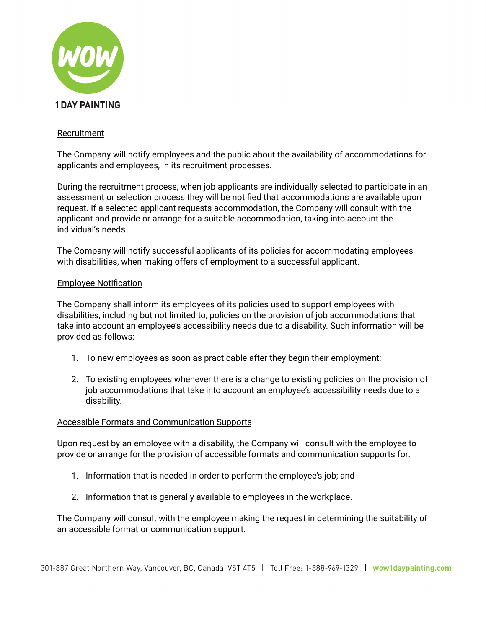

### Recruitment

The Company will notify employees and the public about the availability of accommodations for applicants and employees, in its recruitment processes.

During the recruitment process, when job applicants are individually selected to participate in an assessment or selection process they will be notified that accommodations are available upon request. If a selected applicant requests accommodation, the Company will consult with the applicant and provide or arrange for a suitable accommodation, taking into account the individual's needs.

The Company will notify successful applicants of its policies for accommodating employees with disabilities, when making offers of employment to a successful applicant.

#### Employee Notification

The Company shall inform its employees of its policies used to support employees with disabilities, including but not limited to, policies on the provision of job accommodations that take into account an employee's accessibility needs due to a disability. Such information will be provided as follows:

- 1. To new employees as soon as practicable after they begin their employment;
- 2. To existing employees whenever there is a change to existing policies on the provision of job accommodations that take into account an employee's accessibility needs due to a disability.

#### Accessible Formats and Communication Supports

Upon request by an employee with a disability, the Company will consult with the employee to provide or arrange for the provision of accessible formats and communication supports for:

- 1. Information that is needed in order to perform the employee's job; and
- 2. Information that is generally available to employees in the workplace.

The Company will consult with the employee making the request in determining the suitability of an accessible format or communication support.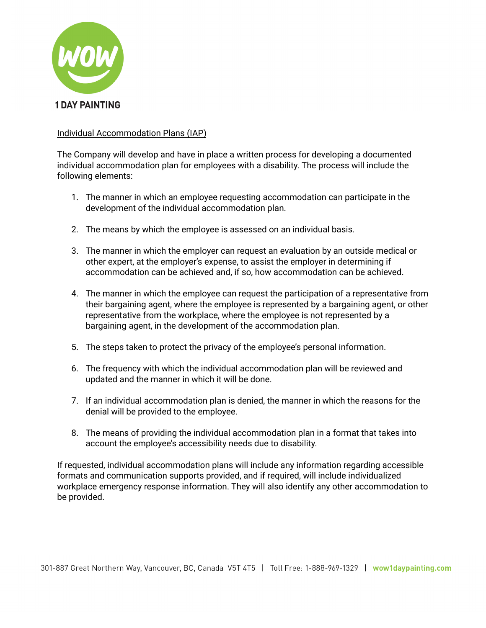

### Individual Accommodation Plans (IAP)

The Company will develop and have in place a written process for developing a documented individual accommodation plan for employees with a disability. The process will include the following elements:

- 1. The manner in which an employee requesting accommodation can participate in the development of the individual accommodation plan.
- 2. The means by which the employee is assessed on an individual basis.
- 3. The manner in which the employer can request an evaluation by an outside medical or other expert, at the employer's expense, to assist the employer in determining if accommodation can be achieved and, if so, how accommodation can be achieved.
- 4. The manner in which the employee can request the participation of a representative from their bargaining agent, where the employee is represented by a bargaining agent, or other representative from the workplace, where the employee is not represented by a bargaining agent, in the development of the accommodation plan.
- 5. The steps taken to protect the privacy of the employee's personal information.
- 6. The frequency with which the individual accommodation plan will be reviewed and updated and the manner in which it will be done.
- 7. If an individual accommodation plan is denied, the manner in which the reasons for the denial will be provided to the employee.
- 8. The means of providing the individual accommodation plan in a format that takes into account the employee's accessibility needs due to disability.

If requested, individual accommodation plans will include any information regarding accessible formats and communication supports provided, and if required, will include individualized workplace emergency response information. They will also identify any other accommodation to be provided.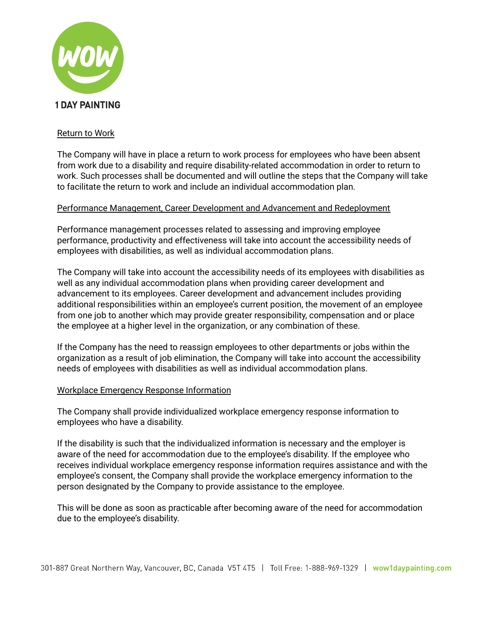

### Return to Work

The Company will have in place a return to work process for employees who have been absent from work due to a disability and require disability-related accommodation in order to return to work. Such processes shall be documented and will outline the steps that the Company will take to facilitate the return to work and include an individual accommodation plan.

### Performance Management, Career Development and Advancement and Redeployment

Performance management processes related to assessing and improving employee performance, productivity and effectiveness will take into account the accessibility needs of employees with disabilities, as well as individual accommodation plans.

The Company will take into account the accessibility needs of its employees with disabilities as well as any individual accommodation plans when providing career development and advancement to its employees. Career development and advancement includes providing additional responsibilities within an employee's current position, the movement of an employee from one job to another which may provide greater responsibility, compensation and or place the employee at a higher level in the organization, or any combination of these.

If the Company has the need to reassign employees to other departments or jobs within the organization as a result of job elimination, the Company will take into account the accessibility needs of employees with disabilities as well as individual accommodation plans.

### Workplace Emergency Response Information

The Company shall provide individualized workplace emergency response information to employees who have a disability.

If the disability is such that the individualized information is necessary and the employer is aware of the need for accommodation due to the employee's disability. If the employee who receives individual workplace emergency response information requires assistance and with the employee's consent, the Company shall provide the workplace emergency information to the person designated by the Company to provide assistance to the employee.

This will be done as soon as practicable after becoming aware of the need for accommodation due to the employee's disability.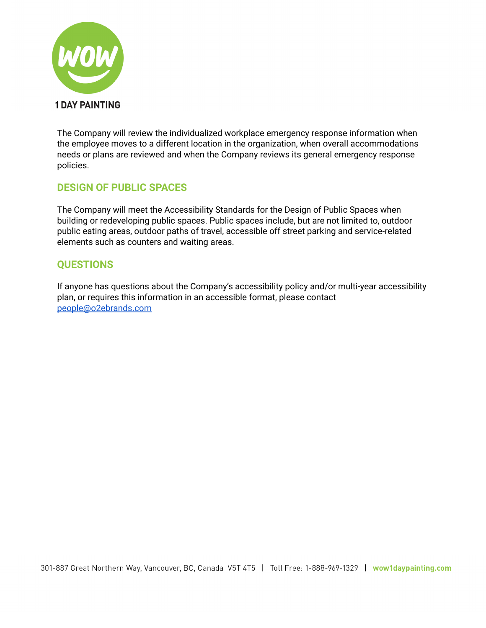

The Company will review the individualized workplace emergency response information when the employee moves to a different location in the organization, when overall accommodations needs or plans are reviewed and when the Company reviews its general emergency response policies.

## **DESIGN OF PUBLIC SPACES**

The Company will meet the Accessibility Standards for the Design of Public Spaces when building or redeveloping public spaces. Public spaces include, but are not limited to, outdoor public eating areas, outdoor paths of travel, accessible off street parking and service-related elements such as counters and waiting areas.

## **QUESTIONS**

If anyone has questions about the Company's accessibility policy and/or multi-year accessibility plan, or requires this information in an accessible format, please contact [people@o2ebrands.com](mailto:people@o2ebrands.com)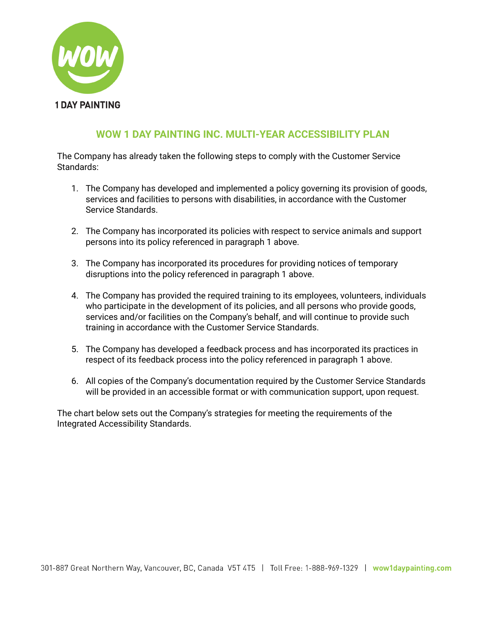

# **WOW 1 DAY PAINTING INC. MULTI-YEAR ACCESSIBILITY PLAN**

The Company has already taken the following steps to comply with the Customer Service Standards:

- 1. The Company has developed and implemented a policy governing its provision of goods, services and facilities to persons with disabilities, in accordance with the Customer Service Standards.
- 2. The Company has incorporated its policies with respect to service animals and support persons into its policy referenced in paragraph 1 above.
- 3. The Company has incorporated its procedures for providing notices of temporary disruptions into the policy referenced in paragraph 1 above.
- 4. The Company has provided the required training to its employees, volunteers, individuals who participate in the development of its policies, and all persons who provide goods, services and/or facilities on the Company's behalf, and will continue to provide such training in accordance with the Customer Service Standards.
- 5. The Company has developed a feedback process and has incorporated its practices in respect of its feedback process into the policy referenced in paragraph 1 above.
- 6. All copies of the Company's documentation required by the Customer Service Standards will be provided in an accessible format or with communication support, upon request.

The chart below sets out the Company's strategies for meeting the requirements of the Integrated Accessibility Standards.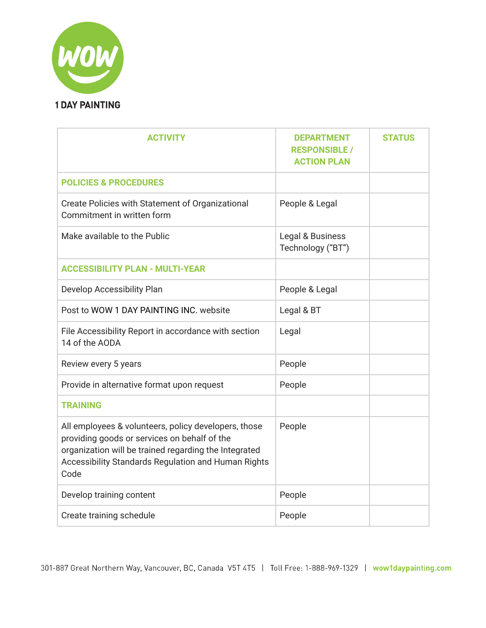

| <b>ACTIVITY</b>                                                                                                                                                                                                              | <b>DEPARTMENT</b><br><b>RESPONSIBLE /</b><br><b>ACTION PLAN</b> | <b>STATUS</b> |
|------------------------------------------------------------------------------------------------------------------------------------------------------------------------------------------------------------------------------|-----------------------------------------------------------------|---------------|
| <b>POLICIES &amp; PROCEDURES</b>                                                                                                                                                                                             |                                                                 |               |
| Create Policies with Statement of Organizational<br>Commitment in written form                                                                                                                                               | People & Legal                                                  |               |
| Make available to the Public                                                                                                                                                                                                 | Legal & Business<br>Technology ("BT")                           |               |
| <b>ACCESSIBILITY PLAN - MULTI-YEAR</b>                                                                                                                                                                                       |                                                                 |               |
| Develop Accessibility Plan                                                                                                                                                                                                   | People & Legal                                                  |               |
| Post to WOW 1 DAY PAINTING INC. website                                                                                                                                                                                      | Legal & BT                                                      |               |
| File Accessibility Report in accordance with section<br>14 of the AODA                                                                                                                                                       | Legal                                                           |               |
| Review every 5 years                                                                                                                                                                                                         | People                                                          |               |
| Provide in alternative format upon request                                                                                                                                                                                   | People                                                          |               |
| <b>TRAINING</b>                                                                                                                                                                                                              |                                                                 |               |
| All employees & volunteers, policy developers, those<br>providing goods or services on behalf of the<br>organization will be trained regarding the Integrated<br>Accessibility Standards Regulation and Human Rights<br>Code | People                                                          |               |
| Develop training content                                                                                                                                                                                                     | People                                                          |               |
| Create training schedule                                                                                                                                                                                                     | People                                                          |               |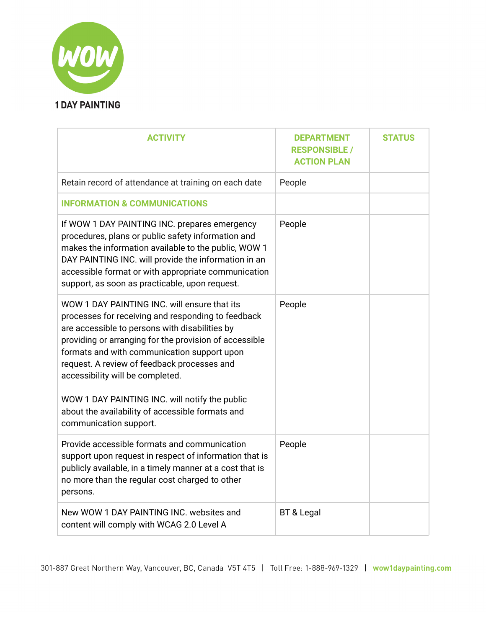

| <b>ACTIVITY</b>                                                                                                                                                                                                                                                                                                                                                                                    | <b>DEPARTMENT</b><br><b>RESPONSIBLE /</b><br><b>ACTION PLAN</b> | <b>STATUS</b> |
|----------------------------------------------------------------------------------------------------------------------------------------------------------------------------------------------------------------------------------------------------------------------------------------------------------------------------------------------------------------------------------------------------|-----------------------------------------------------------------|---------------|
| Retain record of attendance at training on each date                                                                                                                                                                                                                                                                                                                                               | People                                                          |               |
| <b>INFORMATION &amp; COMMUNICATIONS</b>                                                                                                                                                                                                                                                                                                                                                            |                                                                 |               |
| If WOW 1 DAY PAINTING INC. prepares emergency<br>procedures, plans or public safety information and<br>makes the information available to the public, WOW 1<br>DAY PAINTING INC. will provide the information in an<br>accessible format or with appropriate communication<br>support, as soon as practicable, upon request.                                                                       | People                                                          |               |
| WOW 1 DAY PAINTING INC. will ensure that its<br>processes for receiving and responding to feedback<br>are accessible to persons with disabilities by<br>providing or arranging for the provision of accessible<br>formats and with communication support upon<br>request. A review of feedback processes and<br>accessibility will be completed.<br>WOW 1 DAY PAINTING INC. will notify the public | People                                                          |               |
| about the availability of accessible formats and<br>communication support.                                                                                                                                                                                                                                                                                                                         |                                                                 |               |
| Provide accessible formats and communication<br>support upon request in respect of information that is<br>publicly available, in a timely manner at a cost that is<br>no more than the regular cost charged to other<br>persons.                                                                                                                                                                   | People                                                          |               |
| New WOW 1 DAY PAINTING INC. websites and<br>content will comply with WCAG 2.0 Level A                                                                                                                                                                                                                                                                                                              | BT & Legal                                                      |               |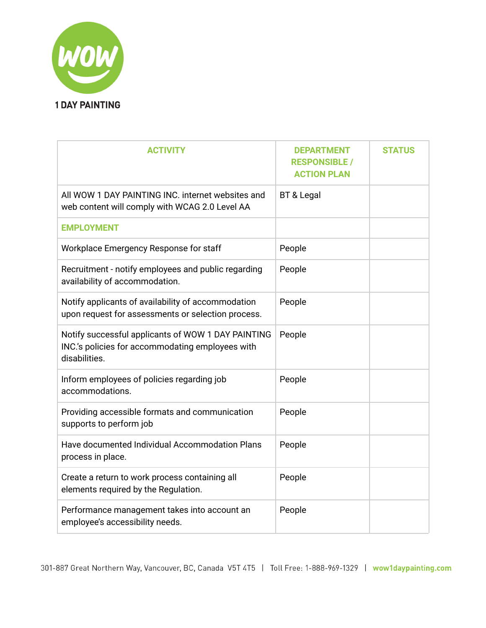

| <b>ACTIVITY</b>                                                                                                        | <b>DEPARTMENT</b><br><b>RESPONSIBLE /</b><br><b>ACTION PLAN</b> | <b>STATUS</b> |
|------------------------------------------------------------------------------------------------------------------------|-----------------------------------------------------------------|---------------|
| All WOW 1 DAY PAINTING INC. internet websites and<br>web content will comply with WCAG 2.0 Level AA                    | BT & Legal                                                      |               |
| <b>EMPLOYMENT</b>                                                                                                      |                                                                 |               |
| Workplace Emergency Response for staff                                                                                 | People                                                          |               |
| Recruitment - notify employees and public regarding<br>availability of accommodation.                                  | People                                                          |               |
| Notify applicants of availability of accommodation<br>upon request for assessments or selection process.               | People                                                          |               |
| Notify successful applicants of WOW 1 DAY PAINTING<br>INC's policies for accommodating employees with<br>disabilities. | People                                                          |               |
| Inform employees of policies regarding job<br>accommodations.                                                          | People                                                          |               |
| Providing accessible formats and communication<br>supports to perform job                                              | People                                                          |               |
| Have documented Individual Accommodation Plans<br>process in place.                                                    | People                                                          |               |
| Create a return to work process containing all<br>elements required by the Regulation.                                 | People                                                          |               |
| Performance management takes into account an<br>employee's accessibility needs.                                        | People                                                          |               |